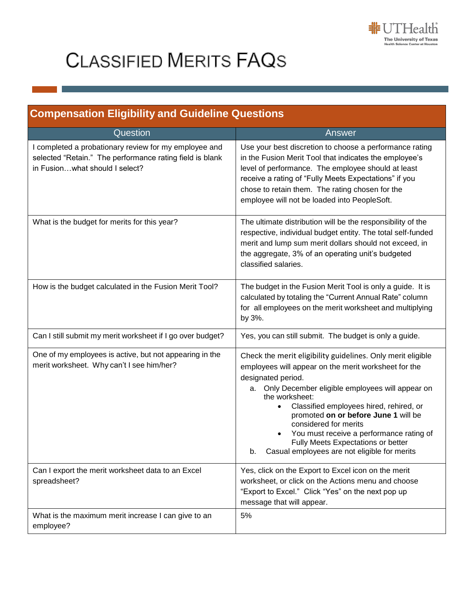

## **CLASSIFIED MERITS FAQS**

| <b>Compensation Eligibility and Guideline Questions</b>                                                                                             |                                                                                                                                                                                                                                                                                                                                                                                                                                                                                    |
|-----------------------------------------------------------------------------------------------------------------------------------------------------|------------------------------------------------------------------------------------------------------------------------------------------------------------------------------------------------------------------------------------------------------------------------------------------------------------------------------------------------------------------------------------------------------------------------------------------------------------------------------------|
| Question                                                                                                                                            | Answer                                                                                                                                                                                                                                                                                                                                                                                                                                                                             |
| I completed a probationary review for my employee and<br>selected "Retain." The performance rating field is blank<br>in Fusionwhat should I select? | Use your best discretion to choose a performance rating<br>in the Fusion Merit Tool that indicates the employee's<br>level of performance. The employee should at least<br>receive a rating of "Fully Meets Expectations" if you<br>chose to retain them. The rating chosen for the<br>employee will not be loaded into PeopleSoft.                                                                                                                                                |
| What is the budget for merits for this year?                                                                                                        | The ultimate distribution will be the responsibility of the<br>respective, individual budget entity. The total self-funded<br>merit and lump sum merit dollars should not exceed, in<br>the aggregate, 3% of an operating unit's budgeted<br>classified salaries.                                                                                                                                                                                                                  |
| How is the budget calculated in the Fusion Merit Tool?                                                                                              | The budget in the Fusion Merit Tool is only a guide. It is<br>calculated by totaling the "Current Annual Rate" column<br>for all employees on the merit worksheet and multiplying<br>by 3%.                                                                                                                                                                                                                                                                                        |
| Can I still submit my merit worksheet if I go over budget?                                                                                          | Yes, you can still submit. The budget is only a guide.                                                                                                                                                                                                                                                                                                                                                                                                                             |
| One of my employees is active, but not appearing in the<br>merit worksheet. Why can't I see him/her?                                                | Check the merit eligibility guidelines. Only merit eligible<br>employees will appear on the merit worksheet for the<br>designated period.<br>a. Only December eligible employees will appear on<br>the worksheet:<br>Classified employees hired, rehired, or<br>$\bullet$<br>promoted on or before June 1 will be<br>considered for merits<br>You must receive a performance rating of<br>Fully Meets Expectations or better<br>Casual employees are not eligible for merits<br>b. |
| Can I export the merit worksheet data to an Excel<br>spreadsheet?                                                                                   | Yes, click on the Export to Excel icon on the merit<br>worksheet, or click on the Actions menu and choose<br>"Export to Excel." Click "Yes" on the next pop up<br>message that will appear.                                                                                                                                                                                                                                                                                        |
| What is the maximum merit increase I can give to an<br>employee?                                                                                    | 5%                                                                                                                                                                                                                                                                                                                                                                                                                                                                                 |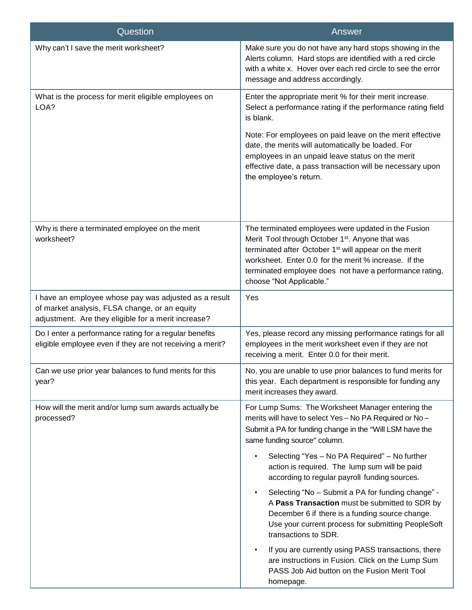| Question                                                                                                                                                      | Answer                                                                                                                                                                                                                                                                                                                                   |
|---------------------------------------------------------------------------------------------------------------------------------------------------------------|------------------------------------------------------------------------------------------------------------------------------------------------------------------------------------------------------------------------------------------------------------------------------------------------------------------------------------------|
| Why can't I save the merit worksheet?                                                                                                                         | Make sure you do not have any hard stops showing in the<br>Alerts column. Hard stops are identified with a red circle<br>with a white x. Hover over each red circle to see the error<br>message and address accordingly.                                                                                                                 |
| What is the process for merit eligible employees on<br>LOA?                                                                                                   | Enter the appropriate merit % for their merit increase.<br>Select a performance rating if the performance rating field<br>is blank.<br>Note: For employees on paid leave on the merit effective<br>date, the merits will automatically be loaded. For<br>employees in an unpaid leave status on the merit                                |
|                                                                                                                                                               | effective date, a pass transaction will be necessary upon<br>the employee's return.                                                                                                                                                                                                                                                      |
| Why is there a terminated employee on the merit<br>worksheet?                                                                                                 | The terminated employees were updated in the Fusion<br>Merit Tool through October 1 <sup>st</sup> . Anyone that was<br>terminated after October 1 <sup>st</sup> will appear on the merit<br>worksheet. Enter 0.0 for the merit % increase. If the<br>terminated employee does not have a performance rating,<br>choose "Not Applicable." |
| I have an employee whose pay was adjusted as a result<br>of market analysis, FLSA change, or an equity<br>adjustment. Are they eligible for a merit increase? | Yes                                                                                                                                                                                                                                                                                                                                      |
| Do I enter a performance rating for a regular benefits<br>eligible employee even if they are not receiving a merit?                                           | Yes, please record any missing performance ratings for all<br>employees in the merit worksheet even if they are not<br>receiving a merit. Enter 0.0 for their merit.                                                                                                                                                                     |
| Can we use prior year balances to fund merits for this<br>year?                                                                                               | No, you are unable to use prior balances to fund merits for<br>this year. Each department is responsible for funding any<br>merit increases they award.                                                                                                                                                                                  |
| How will the merit and/or lump sum awards actually be<br>processed?                                                                                           | For Lump Sums: The Worksheet Manager entering the<br>merits will have to select Yes - No PA Required or No -<br>Submit a PA for funding change in the "Will LSM have the<br>same funding source" column.                                                                                                                                 |
|                                                                                                                                                               | Selecting "Yes - No PA Required" - No further<br>action is required. The lump sum will be paid<br>according to regular payroll funding sources.                                                                                                                                                                                          |
|                                                                                                                                                               | Selecting "No - Submit a PA for funding change" -<br>$\bullet$<br>A Pass Transaction must be submitted to SDR by<br>December 6 if there is a funding source change.<br>Use your current process for submitting PeopleSoft<br>transactions to SDR.                                                                                        |
|                                                                                                                                                               | If you are currently using PASS transactions, there<br>are instructions in Fusion. Click on the Lump Sum<br>PASS Job Aid button on the Fusion Merit Tool<br>homepage.                                                                                                                                                                    |